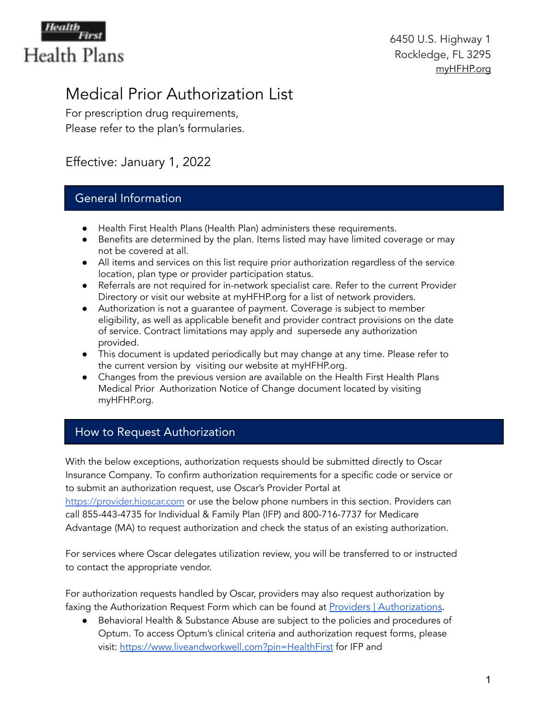

# Medical Prior Authorization List

For prescription drug requirements, Please refer to the plan's formularies.

# Effective: January 1, 2022

## General Information

- Health First Health Plans (Health Plan) administers these requirements.
- Benefits are determined by the plan. Items listed may have limited coverage or may not be covered at all.
- All items and services on this list require prior authorization regardless of the service location, plan type or provider participation status.
- Referrals are not required for in-network specialist care. Refer to the current Provider Directory or visit our website at myHFHP.org for a list of network providers.
- Authorization is not a guarantee of payment. Coverage is subject to member eligibility, as well as applicable benefit and provider contract provisions on the date of service. Contract limitations may apply and supersede any authorization provided.
- This document is updated periodically but may change at any time. Please refer to the current version by visiting our website at myHFHP.org.
- Changes from the previous version are available on the Health First Health Plans Medical Prior Authorization Notice of Change document located by visiting myHFHP.org.

# How to Request Authorization

With the below exceptions, authorization requests should be submitted directly to Oscar Insurance Company. To confirm authorization requirements for a specific code or service or to submit an authorization request, use Oscar's Provider Portal at [https://provider.hioscar.com](https://provider.hioscar.com/) or use the below phone numbers in this section. Providers can call 855-443-4735 for Individual & Family Plan (IFP) and 800-716-7737 for Medicare Advantage (MA) to request authorization and check the status of an existing authorization.

For services where Oscar delegates utilization review, you will be transferred to or instructed to contact the appropriate vendor.

For authorization requests handled by Oscar, providers may also request authorization by faxing the Authorization Request Form which can be found at Providers | [Authorizations](https://hf.org/health_plans/providers/authorizations.cfm).

● Behavioral Health & Substance Abuse are subject to the policies and procedures of Optum. To access Optum's clinical criteria and authorization request forms, please visit: <https://www.liveandworkwell.com?pin=HealthFirst> for IFP and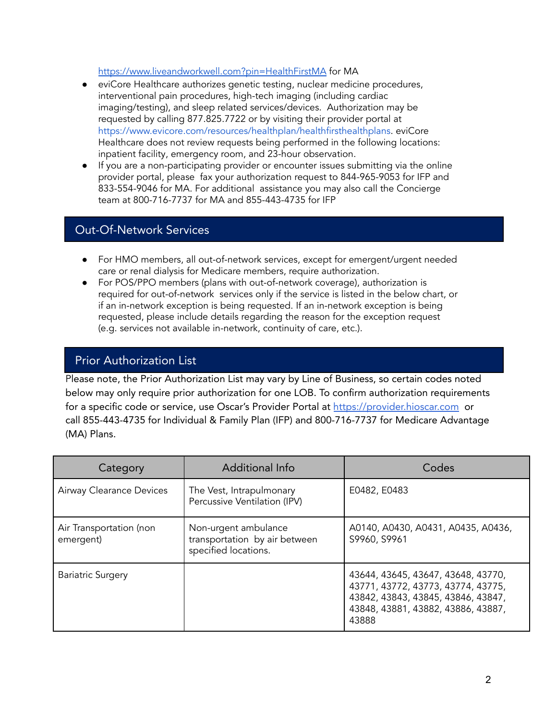<https://www.liveandworkwell.com?pin=HealthFirstMA> for MA

- eviCore Healthcare authorizes genetic testing, nuclear medicine procedures, interventional pain procedures, high-tech imaging (including cardiac imaging/testing), and sleep related services/devices. Authorization may be requested by calling 877.825.7722 or by visiting their provider portal at <https://www.evicore.com/resources/healthplan/healthfirsthealthplans>. eviCore Healthcare does not review requests being performed in the following locations: inpatient facility, emergency room, and 23-hour observation.
- If you are a non-participating provider or encounter issues submitting via the online provider portal, please fax your authorization request to 844-965-9053 for IFP and 833-554-9046 for MA. For additional assistance you may also call the Concierge team at 800-716-7737 for MA and 855-443-4735 for IFP

### Out-Of-Network Services

- For HMO members, all out-of-network services, except for emergent/urgent needed care or renal dialysis for Medicare members, require authorization.
- For POS/PPO members (plans with out-of-network coverage), authorization is required for out-of-network services only if the service is listed in the below chart, or if an in-network exception is being requested. If an in-network exception is being requested, please include details regarding the reason for the exception request (e.g. services not available in-network, continuity of care, etc.).

#### Prior Authorization List

Please note, the Prior Authorization List may vary by Line of Business, so certain codes noted below may only require prior authorization for one LOB. To confirm authorization requirements for a specific code or service, use Oscar's Provider Portal at [https://provider.hioscar.com](https://provider.hioscar.com/) or call 855-443-4735 for Individual & Family Plan (IFP) and 800-716-7737 for Medicare Advantage (MA) Plans.

| Category                             | <b>Additional Info</b>                                                        | Codes                                                                                                                                                         |
|--------------------------------------|-------------------------------------------------------------------------------|---------------------------------------------------------------------------------------------------------------------------------------------------------------|
| Airway Clearance Devices             | The Vest, Intrapulmonary<br>Percussive Ventilation (IPV)                      | E0482, E0483                                                                                                                                                  |
| Air Transportation (non<br>emergent) | Non-urgent ambulance<br>transportation by air between<br>specified locations. | A0140, A0430, A0431, A0435, A0436,<br>S9960, S9961                                                                                                            |
| <b>Bariatric Surgery</b>             |                                                                               | 43644, 43645, 43647, 43648, 43770,<br>43771, 43772, 43773, 43774, 43775,<br>43842, 43843, 43845, 43846, 43847,<br>43848, 43881, 43882, 43886, 43887,<br>43888 |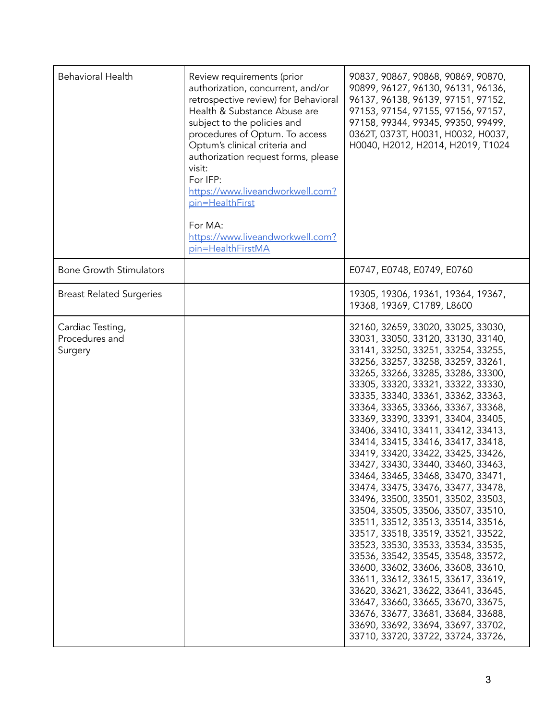| <b>Behavioral Health</b>                      | Review requirements (prior<br>authorization, concurrent, and/or<br>retrospective review) for Behavioral<br>Health & Substance Abuse are<br>subject to the policies and<br>procedures of Optum. To access<br>Optum's clinical criteria and<br>authorization request forms, please<br>visit:<br>For IFP:<br>https://www.liveandworkwell.com?<br>pin=HealthFirst<br>For MA:<br>https://www.liveandworkwell.com?<br>pin=HealthFirstMA | 90837, 90867, 90868, 90869, 90870,<br>90899, 96127, 96130, 96131, 96136,<br>96137, 96138, 96139, 97151, 97152,<br>97153, 97154, 97155, 97156, 97157,<br>97158, 99344, 99345, 99350, 99499,<br>0362Т, 0373Т, Н0031, Н0032, Н0037,<br>H0040, H2012, H2014, H2019, T1024                                                                                                                                                                                                                                                                                                                                                                                                                                                                                                                                                                                                                                                                                                                                                                                                                                |
|-----------------------------------------------|-----------------------------------------------------------------------------------------------------------------------------------------------------------------------------------------------------------------------------------------------------------------------------------------------------------------------------------------------------------------------------------------------------------------------------------|------------------------------------------------------------------------------------------------------------------------------------------------------------------------------------------------------------------------------------------------------------------------------------------------------------------------------------------------------------------------------------------------------------------------------------------------------------------------------------------------------------------------------------------------------------------------------------------------------------------------------------------------------------------------------------------------------------------------------------------------------------------------------------------------------------------------------------------------------------------------------------------------------------------------------------------------------------------------------------------------------------------------------------------------------------------------------------------------------|
| <b>Bone Growth Stimulators</b>                |                                                                                                                                                                                                                                                                                                                                                                                                                                   | E0747, E0748, E0749, E0760                                                                                                                                                                                                                                                                                                                                                                                                                                                                                                                                                                                                                                                                                                                                                                                                                                                                                                                                                                                                                                                                           |
| <b>Breast Related Surgeries</b>               |                                                                                                                                                                                                                                                                                                                                                                                                                                   | 19305, 19306, 19361, 19364, 19367,<br>19368, 19369, C1789, L8600                                                                                                                                                                                                                                                                                                                                                                                                                                                                                                                                                                                                                                                                                                                                                                                                                                                                                                                                                                                                                                     |
| Cardiac Testing,<br>Procedures and<br>Surgery |                                                                                                                                                                                                                                                                                                                                                                                                                                   | 32160, 32659, 33020, 33025, 33030,<br>33031, 33050, 33120, 33130, 33140,<br>33141, 33250, 33251, 33254, 33255,<br>33256, 33257, 33258, 33259, 33261,<br>33265, 33266, 33285, 33286, 33300,<br>33305, 33320, 33321, 33322, 33330,<br>33335, 33340, 33361, 33362, 33363,<br>33364, 33365, 33366, 33367, 33368,<br>33369, 33390, 33391, 33404, 33405,<br>33406, 33410, 33411, 33412, 33413,<br>33414, 33415, 33416, 33417, 33418,<br>33419, 33420, 33422, 33425, 33426,<br>33427, 33430, 33440, 33460, 33463,<br>33464, 33465, 33468, 33470, 33471,<br>33474, 33475, 33476, 33477, 33478,<br>33496, 33500, 33501, 33502, 33503,<br>33504, 33505, 33506, 33507, 33510,<br>33511, 33512, 33513, 33514, 33516,<br>33517, 33518, 33519, 33521, 33522,<br>33523, 33530, 33533, 33534, 33535,<br>33536, 33542, 33545, 33548, 33572,<br>33600, 33602, 33606, 33608, 33610,<br>33611, 33612, 33615, 33617, 33619,<br>33620, 33621, 33622, 33641, 33645,<br>33647, 33660, 33665, 33670, 33675,<br>33676, 33677, 33681, 33684, 33688,<br>33690, 33692, 33694, 33697, 33702,<br>33710, 33720, 33722, 33724, 33726, |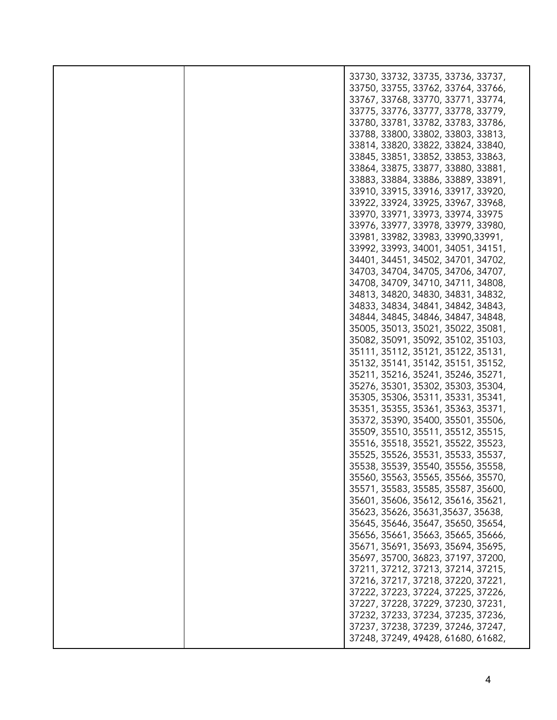|  | 33730, 33732, 33735, 33736, 33737, |
|--|------------------------------------|
|  | 33750, 33755, 33762, 33764, 33766, |
|  |                                    |
|  | 33767, 33768, 33770, 33771, 33774, |
|  |                                    |
|  | 33775, 33776, 33777, 33778, 33779, |
|  | 33780, 33781, 33782, 33783, 33786, |
|  |                                    |
|  | 33788, 33800, 33802, 33803, 33813, |
|  |                                    |
|  | 33814, 33820, 33822, 33824, 33840, |
|  | 33845, 33851, 33852, 33853, 33863, |
|  |                                    |
|  | 33864, 33875, 33877, 33880, 33881, |
|  |                                    |
|  | 33883, 33884, 33886, 33889, 33891, |
|  | 33910, 33915, 33916, 33917, 33920, |
|  |                                    |
|  | 33922, 33924, 33925, 33967, 33968, |
|  |                                    |
|  | 33970, 33971, 33973, 33974, 33975  |
|  | 33976, 33977, 33978, 33979, 33980, |
|  |                                    |
|  | 33981, 33982, 33983, 33990, 33991, |
|  | 33992, 33993, 34001, 34051, 34151, |
|  |                                    |
|  | 34401, 34451, 34502, 34701, 34702, |
|  |                                    |
|  | 34703, 34704, 34705, 34706, 34707, |
|  | 34708, 34709, 34710, 34711, 34808, |
|  |                                    |
|  | 34813, 34820, 34830, 34831, 34832, |
|  |                                    |
|  | 34833, 34834, 34841, 34842, 34843, |
|  | 34844, 34845, 34846, 34847, 34848, |
|  |                                    |
|  | 35005, 35013, 35021, 35022, 35081, |
|  |                                    |
|  | 35082, 35091, 35092, 35102, 35103, |
|  | 35111, 35112, 35121, 35122, 35131, |
|  |                                    |
|  | 35132, 35141, 35142, 35151, 35152, |
|  |                                    |
|  | 35211, 35216, 35241, 35246, 35271, |
|  | 35276, 35301, 35302, 35303, 35304, |
|  |                                    |
|  | 35305, 35306, 35311, 35331, 35341, |
|  |                                    |
|  | 35351, 35355, 35361, 35363, 35371, |
|  | 35372, 35390, 35400, 35501, 35506, |
|  |                                    |
|  | 35509, 35510, 35511, 35512, 35515, |
|  | 35516, 35518, 35521, 35522, 35523, |
|  |                                    |
|  | 35525, 35526, 35531, 35533, 35537, |
|  |                                    |
|  | 35538, 35539, 35540, 35556, 35558, |
|  | 35560, 35563, 35565, 35566, 35570, |
|  |                                    |
|  | 35571, 35583, 35585, 35587, 35600, |
|  | 35601, 35606, 35612, 35616, 35621, |
|  |                                    |
|  | 35623, 35626, 35631, 35637, 35638, |
|  |                                    |
|  | 35645, 35646, 35647, 35650, 35654, |
|  | 35656, 35661, 35663, 35665, 35666, |
|  |                                    |
|  | 35671, 35691, 35693, 35694, 35695, |
|  |                                    |
|  | 35697, 35700, 36823, 37197, 37200, |
|  | 37211, 37212, 37213, 37214, 37215, |
|  |                                    |
|  | 37216, 37217, 37218, 37220, 37221, |
|  |                                    |
|  | 37222, 37223, 37224, 37225, 37226, |
|  | 37227, 37228, 37229, 37230, 37231, |
|  |                                    |
|  | 37232, 37233, 37234, 37235, 37236, |
|  | 37237, 37238, 37239, 37246, 37247, |
|  |                                    |
|  | 37248, 37249, 49428, 61680, 61682, |
|  |                                    |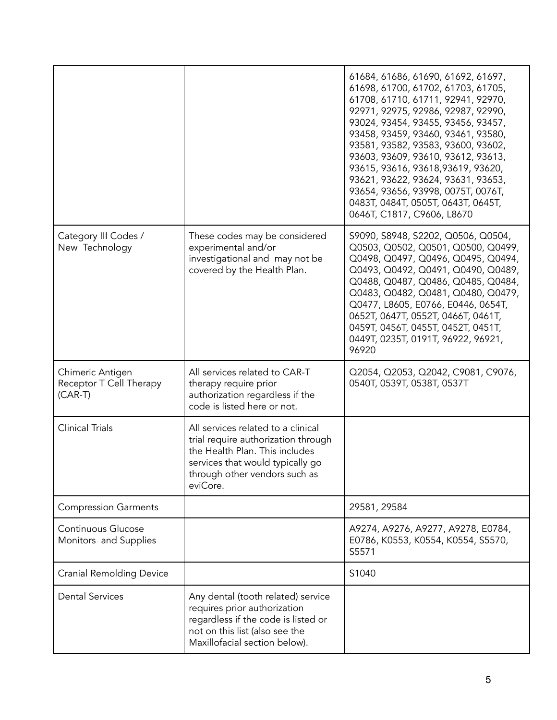|                                                          |                                                                                                                                                                                              | 61684, 61686, 61690, 61692, 61697,<br>61698, 61700, 61702, 61703, 61705,<br>61708, 61710, 61711, 92941, 92970,<br>92971, 92975, 92986, 92987, 92990,<br>93024, 93454, 93455, 93456, 93457,<br>93458, 93459, 93460, 93461, 93580,<br>93581, 93582, 93583, 93600, 93602,<br>93603, 93609, 93610, 93612, 93613,<br>93615, 93616, 93618, 93619, 93620,<br>93621, 93622, 93624, 93631, 93653,<br>93654, 93656, 93998, 0075T, 0076T,<br>0483T, 0484T, 0505T, 0643T, 0645T,<br>0646T, C1817, C9606, L8670 |
|----------------------------------------------------------|----------------------------------------------------------------------------------------------------------------------------------------------------------------------------------------------|----------------------------------------------------------------------------------------------------------------------------------------------------------------------------------------------------------------------------------------------------------------------------------------------------------------------------------------------------------------------------------------------------------------------------------------------------------------------------------------------------|
| Category III Codes /<br>New Technology                   | These codes may be considered<br>experimental and/or<br>investigational and may not be<br>covered by the Health Plan.                                                                        | S9090, S8948, S2202, Q0506, Q0504,<br>Q0503, Q0502, Q0501, Q0500, Q0499,<br>Q0498, Q0497, Q0496, Q0495, Q0494,<br>Q0493, Q0492, Q0491, Q0490, Q0489,<br>Q0488, Q0487, Q0486, Q0485, Q0484,<br>Q0483, Q0482, Q0481, Q0480, Q0479,<br>Q0477, L8605, E0766, E0446, 0654T,<br>0652T, 0647T, 0552T, 0466T, 0461T,<br>0459T, 0456T, 0455T, 0452T, 0451T,<br>0449T, 0235T, 0191T, 96922, 96921,<br>96920                                                                                                  |
| Chimeric Antigen<br>Receptor T Cell Therapy<br>$(CAR-T)$ | All services related to CAR-T<br>therapy require prior<br>authorization regardless if the<br>code is listed here or not.                                                                     | Q2054, Q2053, Q2042, C9081, C9076,<br>0540T, 0539T, 0538T, 0537T                                                                                                                                                                                                                                                                                                                                                                                                                                   |
| <b>Clinical Trials</b>                                   | All services related to a clinical<br>trial require authorization through<br>the Health Plan. This includes<br>services that would typically go<br>through other vendors such as<br>eviCore. |                                                                                                                                                                                                                                                                                                                                                                                                                                                                                                    |
| <b>Compression Garments</b>                              |                                                                                                                                                                                              | 29581, 29584                                                                                                                                                                                                                                                                                                                                                                                                                                                                                       |
| Continuous Glucose<br>Monitors and Supplies              |                                                                                                                                                                                              | A9274, A9276, A9277, A9278, E0784,<br>E0786, K0553, K0554, K0554, S5570,<br>S5571                                                                                                                                                                                                                                                                                                                                                                                                                  |
| <b>Cranial Remolding Device</b>                          |                                                                                                                                                                                              | S1040                                                                                                                                                                                                                                                                                                                                                                                                                                                                                              |
| <b>Dental Services</b>                                   | Any dental (tooth related) service<br>requires prior authorization<br>regardless if the code is listed or<br>not on this list (also see the<br>Maxillofacial section below).                 |                                                                                                                                                                                                                                                                                                                                                                                                                                                                                                    |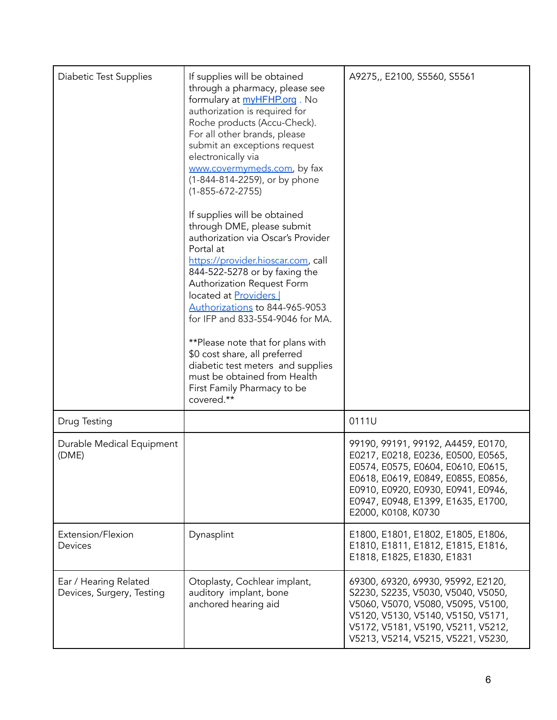| <b>Diabetic Test Supplies</b>                      | If supplies will be obtained<br>through a pharmacy, please see<br>formulary at myHFHP.org. No<br>authorization is required for<br>Roche products (Accu-Check).<br>For all other brands, please<br>submit an exceptions request<br>electronically via<br>www.covermymeds.com, by fax<br>(1-844-814-2259), or by phone<br>$(1 - 855 - 672 - 2755)$                                                                                                                                                         | A9275,, E2100, S5560, S5561                                                                                                                                                                                                                             |
|----------------------------------------------------|----------------------------------------------------------------------------------------------------------------------------------------------------------------------------------------------------------------------------------------------------------------------------------------------------------------------------------------------------------------------------------------------------------------------------------------------------------------------------------------------------------|---------------------------------------------------------------------------------------------------------------------------------------------------------------------------------------------------------------------------------------------------------|
|                                                    | If supplies will be obtained<br>through DME, please submit<br>authorization via Oscar's Provider<br>Portal at<br>https://provider.hioscar.com, call<br>844-522-5278 or by faxing the<br>Authorization Request Form<br>located at Providers<br>Authorizations to 844-965-9053<br>for IFP and 833-554-9046 for MA.<br>**Please note that for plans with<br>\$0 cost share, all preferred<br>diabetic test meters and supplies<br>must be obtained from Health<br>First Family Pharmacy to be<br>covered.** |                                                                                                                                                                                                                                                         |
| Drug Testing                                       |                                                                                                                                                                                                                                                                                                                                                                                                                                                                                                          | 0111U                                                                                                                                                                                                                                                   |
| Durable Medical Equipment<br>(DME)                 |                                                                                                                                                                                                                                                                                                                                                                                                                                                                                                          | 99190, 99191, 99192, A4459, E0170,<br>E0217, E0218, E0236, E0500, E0565,<br>E0574, E0575, E0604, E0610, E0615,<br>E0618, E0619, E0849, E0855, E0856,<br>E0910, E0920, E0930, E0941, E0946,<br>E0947, E0948, E1399, E1635, E1700,<br>E2000, K0108, K0730 |
| Extension/Flexion<br>Devices                       | Dynasplint                                                                                                                                                                                                                                                                                                                                                                                                                                                                                               | E1800, E1801, E1802, E1805, E1806,<br>E1810, E1811, E1812, E1815, E1816,<br>E1818, E1825, E1830, E1831                                                                                                                                                  |
| Ear / Hearing Related<br>Devices, Surgery, Testing | Otoplasty, Cochlear implant,<br>auditory implant, bone<br>anchored hearing aid                                                                                                                                                                                                                                                                                                                                                                                                                           | 69300, 69320, 69930, 95992, E2120,<br>S2230, S2235, V5030, V5040, V5050,<br>V5060, V5070, V5080, V5095, V5100,<br>V5120, V5130, V5140, V5150, V5171,<br>V5172, V5181, V5190, V5211, V5212,<br>V5213, V5214, V5215, V5221, V5230,                        |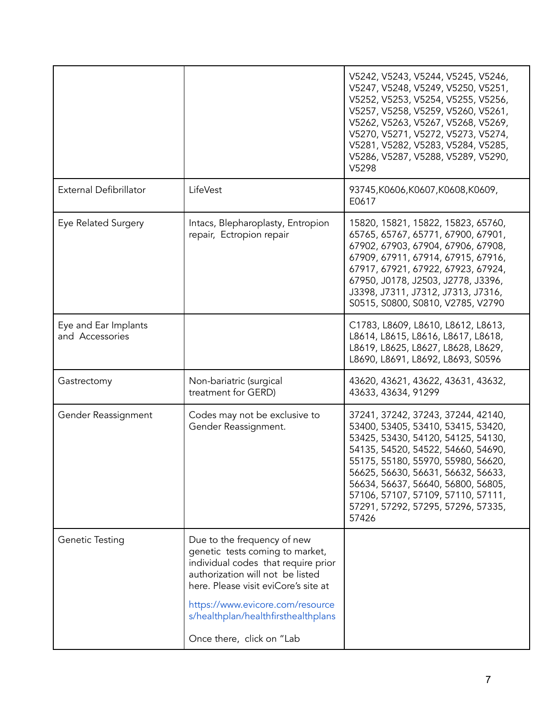|                                         |                                                                                                                                                                                   | V5242, V5243, V5244, V5245, V5246,<br>V5247, V5248, V5249, V5250, V5251,<br>V5252, V5253, V5254, V5255, V5256,<br>V5257, V5258, V5259, V5260, V5261,<br>V5262, V5263, V5267, V5268, V5269,<br>V5270, V5271, V5272, V5273, V5274,<br>V5281, V5282, V5283, V5284, V5285,<br>V5286, V5287, V5288, V5289, V5290,<br>V5298                                       |
|-----------------------------------------|-----------------------------------------------------------------------------------------------------------------------------------------------------------------------------------|-------------------------------------------------------------------------------------------------------------------------------------------------------------------------------------------------------------------------------------------------------------------------------------------------------------------------------------------------------------|
| External Defibrillator                  | LifeVest                                                                                                                                                                          | 93745,K0606,K0607,K0608,K0609,<br>E0617                                                                                                                                                                                                                                                                                                                     |
| Eye Related Surgery                     | Intacs, Blepharoplasty, Entropion<br>repair, Ectropion repair                                                                                                                     | 15820, 15821, 15822, 15823, 65760,<br>65765, 65767, 65771, 67900, 67901,<br>67902, 67903, 67904, 67906, 67908,<br>67909, 67911, 67914, 67915, 67916,<br>67917, 67921, 67922, 67923, 67924,<br>67950, J0178, J2503, J2778, J3396,<br>J3398, J7311, J7312, J7313, J7316,<br>S0515, S0800, S0810, V2785, V2790                                                 |
| Eye and Ear Implants<br>and Accessories |                                                                                                                                                                                   | C1783, L8609, L8610, L8612, L8613,<br>L8614, L8615, L8616, L8617, L8618,<br>L8619, L8625, L8627, L8628, L8629,<br>L8690, L8691, L8692, L8693, S0596                                                                                                                                                                                                         |
| Gastrectomy                             | Non-bariatric (surgical<br>treatment for GERD)                                                                                                                                    | 43620, 43621, 43622, 43631, 43632,<br>43633, 43634, 91299                                                                                                                                                                                                                                                                                                   |
| Gender Reassignment                     | Codes may not be exclusive to<br>Gender Reassignment.                                                                                                                             | 37241, 37242, 37243, 37244, 42140,<br>53400, 53405, 53410, 53415, 53420,<br>53425, 53430, 54120, 54125, 54130,<br>54135, 54520, 54522, 54660, 54690,<br>55175, 55180, 55970, 55980, 56620,<br>56625, 56630, 56631, 56632, 56633,<br>56634, 56637, 56640, 56800, 56805,<br>57106, 57107, 57109, 57110, 57111,<br>57291, 57292, 57295, 57296, 57335,<br>57426 |
| Genetic Testing                         | Due to the frequency of new<br>genetic tests coming to market,<br>individual codes that require prior<br>authorization will not be listed<br>here. Please visit eviCore's site at |                                                                                                                                                                                                                                                                                                                                                             |
|                                         | https://www.evicore.com/resource<br>s/healthplan/healthfirsthealthplans                                                                                                           |                                                                                                                                                                                                                                                                                                                                                             |
|                                         | Once there, click on "Lab                                                                                                                                                         |                                                                                                                                                                                                                                                                                                                                                             |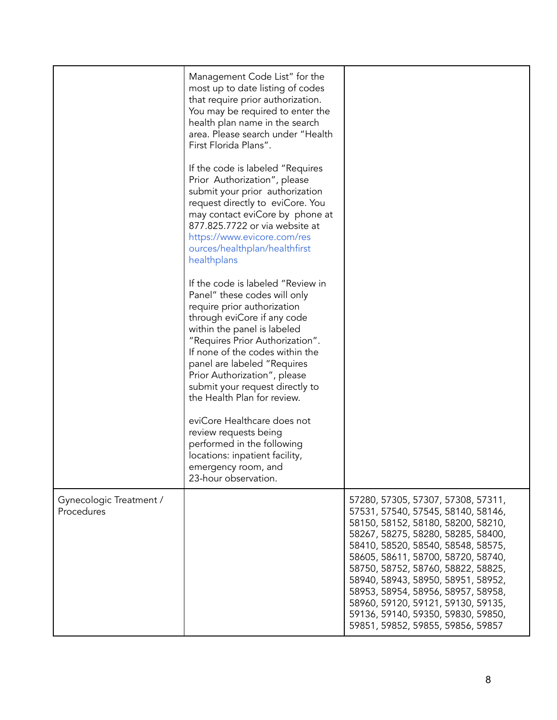|                                       | Management Code List" for the<br>most up to date listing of codes<br>that require prior authorization.<br>You may be required to enter the<br>health plan name in the search<br>area. Please search under "Health<br>First Florida Plans".<br>If the code is labeled "Requires"<br>Prior Authorization", please<br>submit your prior authorization<br>request directly to eviCore. You<br>may contact eviCore by phone at<br>877.825.7722 or via website at<br>https://www.evicore.com/res<br>ources/healthplan/healthfirst<br>healthplans<br>If the code is labeled "Review in<br>Panel" these codes will only<br>require prior authorization<br>through eviCore if any code<br>within the panel is labeled<br>"Requires Prior Authorization".<br>If none of the codes within the<br>panel are labeled "Requires<br>Prior Authorization", please<br>submit your request directly to<br>the Health Plan for review.<br>eviCore Healthcare does not<br>review requests being<br>performed in the following<br>locations: inpatient facility, |                                                                                                                                                                                                                                                                                                                                                                                                                                                                     |
|---------------------------------------|---------------------------------------------------------------------------------------------------------------------------------------------------------------------------------------------------------------------------------------------------------------------------------------------------------------------------------------------------------------------------------------------------------------------------------------------------------------------------------------------------------------------------------------------------------------------------------------------------------------------------------------------------------------------------------------------------------------------------------------------------------------------------------------------------------------------------------------------------------------------------------------------------------------------------------------------------------------------------------------------------------------------------------------------|---------------------------------------------------------------------------------------------------------------------------------------------------------------------------------------------------------------------------------------------------------------------------------------------------------------------------------------------------------------------------------------------------------------------------------------------------------------------|
|                                       | emergency room, and<br>23-hour observation.                                                                                                                                                                                                                                                                                                                                                                                                                                                                                                                                                                                                                                                                                                                                                                                                                                                                                                                                                                                                 |                                                                                                                                                                                                                                                                                                                                                                                                                                                                     |
| Gynecologic Treatment /<br>Procedures |                                                                                                                                                                                                                                                                                                                                                                                                                                                                                                                                                                                                                                                                                                                                                                                                                                                                                                                                                                                                                                             | 57280, 57305, 57307, 57308, 57311,<br>57531, 57540, 57545, 58140, 58146,<br>58150, 58152, 58180, 58200, 58210,<br>58267, 58275, 58280, 58285, 58400,<br>58410, 58520, 58540, 58548, 58575,<br>58605, 58611, 58700, 58720, 58740,<br>58750, 58752, 58760, 58822, 58825,<br>58940, 58943, 58950, 58951, 58952,<br>58953, 58954, 58956, 58957, 58958,<br>58960, 59120, 59121, 59130, 59135,<br>59136, 59140, 59350, 59830, 59850,<br>59851, 59852, 59855, 59856, 59857 |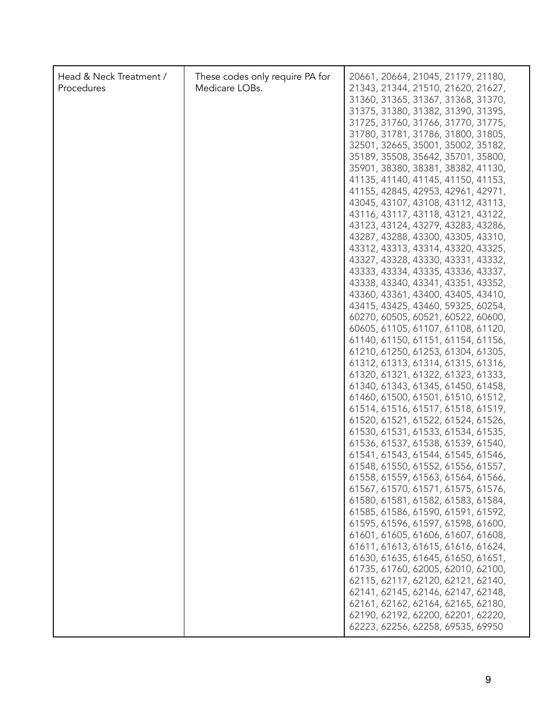| Head & Neck Treatment /<br>Procedures | These codes only require PA for<br>Medicare LOBs. | 20661, 20664, 21045, 21179, 21180,<br>21343, 21344, 21510, 21620, 21627,<br>31360, 31365, 31367, 31368, 31370,<br>31375, 31380, 31382, 31390, 31395,<br>31725, 31760, 31766, 31770, 31775,<br>31780, 31781, 31786, 31800, 31805,<br>32501, 32665, 35001, 35002, 35182,<br>35189, 35508, 35642, 35701, 35800,<br>35901, 38380, 38381, 38382, 41130,<br>41135, 41140, 41145, 41150, 41153,<br>41155, 42845, 42953, 42961, 42971,<br>43045, 43107, 43108, 43112, 43113,<br>43116, 43117, 43118, 43121, 43122,<br>43123, 43124, 43279, 43283, 43286,<br>43287, 43288, 43300, 43305, 43310,<br>43312, 43313, 43314, 43320, 43325,<br>43327, 43328, 43330, 43331, 43332,<br>43333, 43334, 43335, 43336, 43337,<br>43338, 43340, 43341, 43351, 43352,<br>43360, 43361, 43400, 43405, 43410,<br>43415, 43425, 43460, 59325, 60254,<br>60270, 60505, 60521, 60522, 60600,<br>60605, 61105, 61107, 61108, 61120,<br>61140, 61150, 61151, 61154, 61156,<br>61210, 61250, 61253, 61304, 61305,<br>61312, 61313, 61314, 61315, 61316,<br>61320, 61321, 61322, 61323, 61333,<br>61340, 61343, 61345, 61450, 61458,<br>61460, 61500, 61501, 61510, 61512,<br>61514, 61516, 61517, 61518, 61519,<br>61520, 61521, 61522, 61524, 61526,<br>61530, 61531, 61533, 61534, 61535,<br>61536, 61537, 61538, 61539, 61540,<br>61541, 61543, 61544, 61545, 61546,<br>61548, 61550, 61552, 61556, 61557,<br>61558, 61559, 61563, 61564, 61566,<br>61567, 61570, 61571, 61575, 61576,<br>61580, 61581, 61582, 61583, 61584,<br>61585, 61586, 61590, 61591, 61592,<br>61595, 61596, 61597, 61598, 61600,<br>61601, 61605, 61606, 61607, 61608,<br>61611, 61613, 61615, 61616, 61624,<br>61630, 61635, 61645, 61650, 61651,<br>61735, 61760, 62005, 62010, 62100, |
|---------------------------------------|---------------------------------------------------|--------------------------------------------------------------------------------------------------------------------------------------------------------------------------------------------------------------------------------------------------------------------------------------------------------------------------------------------------------------------------------------------------------------------------------------------------------------------------------------------------------------------------------------------------------------------------------------------------------------------------------------------------------------------------------------------------------------------------------------------------------------------------------------------------------------------------------------------------------------------------------------------------------------------------------------------------------------------------------------------------------------------------------------------------------------------------------------------------------------------------------------------------------------------------------------------------------------------------------------------------------------------------------------------------------------------------------------------------------------------------------------------------------------------------------------------------------------------------------------------------------------------------------------------------------------------------------------------------------------------------------------------------------------------------------------------------------------------------------------|
|                                       |                                                   | 62115, 62117, 62120, 62121, 62140,<br>62141, 62145, 62146, 62147, 62148,<br>62161, 62162, 62164, 62165, 62180,<br>62190, 62192, 62200, 62201, 62220,<br>62223, 62256, 62258, 69535, 69950                                                                                                                                                                                                                                                                                                                                                                                                                                                                                                                                                                                                                                                                                                                                                                                                                                                                                                                                                                                                                                                                                                                                                                                                                                                                                                                                                                                                                                                                                                                                            |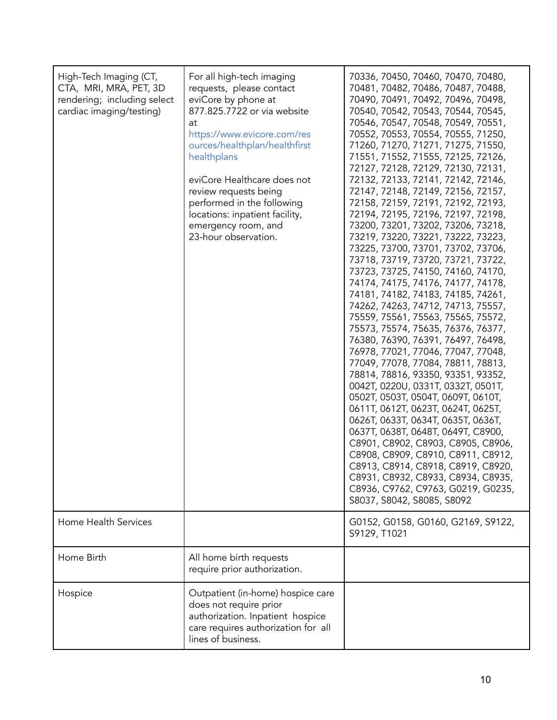| High-Tech Imaging (CT,<br>CTA, MRI, MRA, PET, 3D<br>rendering; including select<br>cardiac imaging/testing)<br>Home Health Services | For all high-tech imaging<br>requests, please contact<br>eviCore by phone at<br>877.825.7722 or via website<br>at<br>https://www.evicore.com/res<br>ources/healthplan/healthfirst<br>healthplans<br>eviCore Healthcare does not<br>review requests being<br>performed in the following<br>locations: inpatient facility,<br>emergency room, and<br>23-hour observation. | 70336, 70450, 70460, 70470, 70480,<br>70481, 70482, 70486, 70487, 70488,<br>70490, 70491, 70492, 70496, 70498,<br>70540, 70542, 70543, 70544, 70545,<br>70546, 70547, 70548, 70549, 70551,<br>70552, 70553, 70554, 70555, 71250,<br>71260, 71270, 71271, 71275, 71550,<br>71551, 71552, 71555, 72125, 72126,<br>72127, 72128, 72129, 72130, 72131,<br>72132, 72133, 72141, 72142, 72146,<br>72147, 72148, 72149, 72156, 72157,<br>72158, 72159, 72191, 72192, 72193,<br>72194, 72195, 72196, 72197, 72198,<br>73200, 73201, 73202, 73206, 73218,<br>73219, 73220, 73221, 73222, 73223,<br>73225, 73700, 73701, 73702, 73706,<br>73718, 73719, 73720, 73721, 73722,<br>73723, 73725, 74150, 74160, 74170,<br>74174, 74175, 74176, 74177, 74178,<br>74181, 74182, 74183, 74185, 74261,<br>74262, 74263, 74712, 74713, 75557,<br>75559, 75561, 75563, 75565, 75572,<br>75573, 75574, 75635, 76376, 76377,<br>76380, 76390, 76391, 76497, 76498,<br>76978, 77021, 77046, 77047, 77048,<br>77049, 77078, 77084, 78811, 78813,<br>78814, 78816, 93350, 93351, 93352,<br>0042T, 0220U, 0331T, 0332T, 0501T,<br>0502Т, 0503Т, 0504Т, 0609Т, 0610Т,<br>0611T, 0612T, 0623T, 0624T, 0625T,<br>0626T, 0633T, 0634T, 0635T, 0636T,<br>0637T, 0638T, 0648T, 0649T, C8900,<br>C8901, C8902, C8903, C8905, C8906,<br>C8908, C8909, C8910, C8911, C8912,<br>C8913, C8914, C8918, C8919, C8920,<br>C8931, C8932, C8933, C8934, C8935,<br>C8936, C9762, C9763, G0219, G0235,<br>S8037, S8042, S8085, S8092<br>G0152, G0158, G0160, G2169, S9122,<br>S9129, T1021 |
|-------------------------------------------------------------------------------------------------------------------------------------|-------------------------------------------------------------------------------------------------------------------------------------------------------------------------------------------------------------------------------------------------------------------------------------------------------------------------------------------------------------------------|------------------------------------------------------------------------------------------------------------------------------------------------------------------------------------------------------------------------------------------------------------------------------------------------------------------------------------------------------------------------------------------------------------------------------------------------------------------------------------------------------------------------------------------------------------------------------------------------------------------------------------------------------------------------------------------------------------------------------------------------------------------------------------------------------------------------------------------------------------------------------------------------------------------------------------------------------------------------------------------------------------------------------------------------------------------------------------------------------------------------------------------------------------------------------------------------------------------------------------------------------------------------------------------------------------------------------------------------------------------------------------------------------------------------------------------------------------------------------------------------------------------------------------------------|
| Home Birth                                                                                                                          | All home birth requests<br>require prior authorization.                                                                                                                                                                                                                                                                                                                 |                                                                                                                                                                                                                                                                                                                                                                                                                                                                                                                                                                                                                                                                                                                                                                                                                                                                                                                                                                                                                                                                                                                                                                                                                                                                                                                                                                                                                                                                                                                                                |
| Hospice                                                                                                                             | Outpatient (in-home) hospice care<br>does not require prior<br>authorization. Inpatient hospice<br>care requires authorization for all<br>lines of business.                                                                                                                                                                                                            |                                                                                                                                                                                                                                                                                                                                                                                                                                                                                                                                                                                                                                                                                                                                                                                                                                                                                                                                                                                                                                                                                                                                                                                                                                                                                                                                                                                                                                                                                                                                                |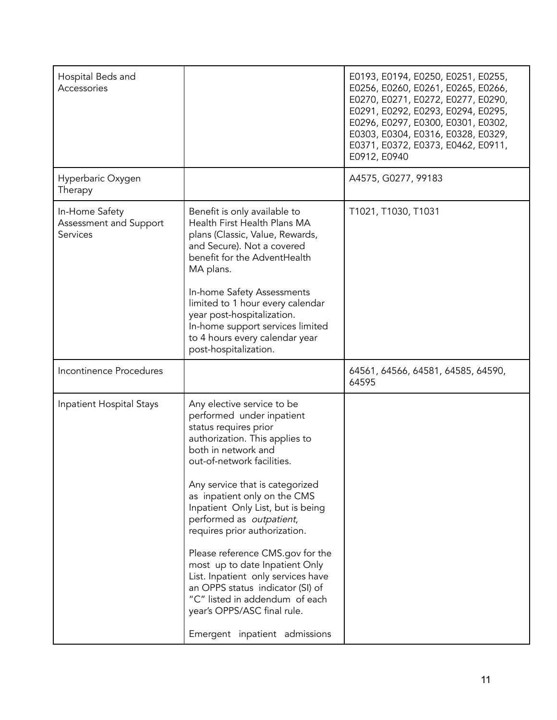| Hospital Beds and<br>Accessories                     |                                                                                                                                                                                                                                                                                                                                                                                                                                                                                                                                                                                                | E0193, E0194, E0250, E0251, E0255,<br>E0256, E0260, E0261, E0265, E0266,<br>E0270, E0271, E0272, E0277, E0290,<br>E0291, E0292, E0293, E0294, E0295,<br>E0296, E0297, E0300, E0301, E0302,<br>E0303, E0304, E0316, E0328, E0329,<br>E0371, E0372, E0373, E0462, E0911,<br>E0912, E0940 |
|------------------------------------------------------|------------------------------------------------------------------------------------------------------------------------------------------------------------------------------------------------------------------------------------------------------------------------------------------------------------------------------------------------------------------------------------------------------------------------------------------------------------------------------------------------------------------------------------------------------------------------------------------------|----------------------------------------------------------------------------------------------------------------------------------------------------------------------------------------------------------------------------------------------------------------------------------------|
| Hyperbaric Oxygen<br>Therapy                         |                                                                                                                                                                                                                                                                                                                                                                                                                                                                                                                                                                                                | A4575, G0277, 99183                                                                                                                                                                                                                                                                    |
| In-Home Safety<br>Assessment and Support<br>Services | Benefit is only available to<br>Health First Health Plans MA<br>plans (Classic, Value, Rewards,<br>and Secure). Not a covered<br>benefit for the AdventHealth<br>MA plans.                                                                                                                                                                                                                                                                                                                                                                                                                     | T1021, T1030, T1031                                                                                                                                                                                                                                                                    |
|                                                      | In-home Safety Assessments<br>limited to 1 hour every calendar<br>year post-hospitalization.<br>In-home support services limited<br>to 4 hours every calendar year<br>post-hospitalization.                                                                                                                                                                                                                                                                                                                                                                                                    |                                                                                                                                                                                                                                                                                        |
| Incontinence Procedures                              |                                                                                                                                                                                                                                                                                                                                                                                                                                                                                                                                                                                                | 64561, 64566, 64581, 64585, 64590,<br>64595                                                                                                                                                                                                                                            |
| Inpatient Hospital Stays                             | Any elective service to be<br>performed under inpatient<br>status requires prior<br>authorization. This applies to<br>both in network and<br>out-of-network facilities.<br>Any service that is categorized<br>as inpatient only on the CMS<br>Inpatient Only List, but is being<br>performed as outpatient,<br>requires prior authorization.<br>Please reference CMS.gov for the<br>most up to date Inpatient Only<br>List. Inpatient only services have<br>an OPPS status indicator (SI) of<br>"C" listed in addendum of each<br>year's OPPS/ASC final rule.<br>Emergent inpatient admissions |                                                                                                                                                                                                                                                                                        |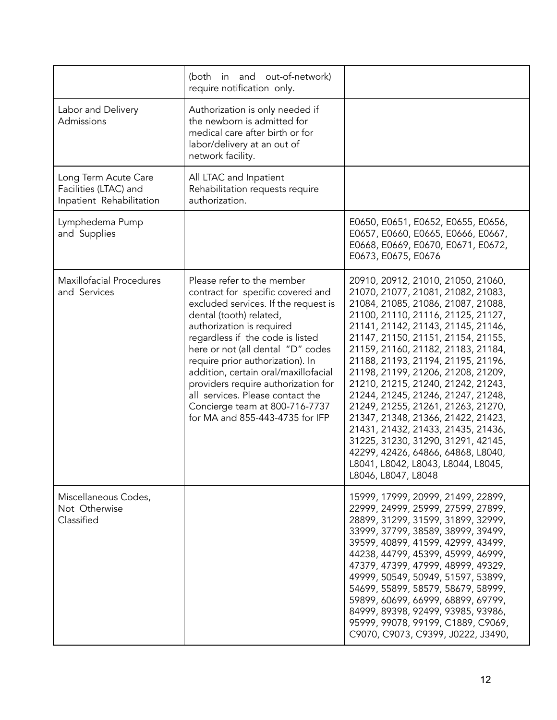|                                                                           | (both in and out-of-network)<br>require notification only.                                                                                                                                                                                                                                                                                                                                                                                                           |                                                                                                                                                                                                                                                                                                                                                                                                                                                                                                                                                                                                                                                                                           |
|---------------------------------------------------------------------------|----------------------------------------------------------------------------------------------------------------------------------------------------------------------------------------------------------------------------------------------------------------------------------------------------------------------------------------------------------------------------------------------------------------------------------------------------------------------|-------------------------------------------------------------------------------------------------------------------------------------------------------------------------------------------------------------------------------------------------------------------------------------------------------------------------------------------------------------------------------------------------------------------------------------------------------------------------------------------------------------------------------------------------------------------------------------------------------------------------------------------------------------------------------------------|
| Labor and Delivery<br>Admissions                                          | Authorization is only needed if<br>the newborn is admitted for<br>medical care after birth or for<br>labor/delivery at an out of<br>network facility.                                                                                                                                                                                                                                                                                                                |                                                                                                                                                                                                                                                                                                                                                                                                                                                                                                                                                                                                                                                                                           |
| Long Term Acute Care<br>Facilities (LTAC) and<br>Inpatient Rehabilitation | All LTAC and Inpatient<br>Rehabilitation requests require<br>authorization.                                                                                                                                                                                                                                                                                                                                                                                          |                                                                                                                                                                                                                                                                                                                                                                                                                                                                                                                                                                                                                                                                                           |
| Lymphedema Pump<br>and Supplies                                           |                                                                                                                                                                                                                                                                                                                                                                                                                                                                      | E0650, E0651, E0652, E0655, E0656,<br>E0657, E0660, E0665, E0666, E0667,<br>E0668, E0669, E0670, E0671, E0672,<br>E0673, E0675, E0676                                                                                                                                                                                                                                                                                                                                                                                                                                                                                                                                                     |
| <b>Maxillofacial Procedures</b><br>and Services                           | Please refer to the member<br>contract for specific covered and<br>excluded services. If the request is<br>dental (tooth) related,<br>authorization is required<br>regardless if the code is listed<br>here or not (all dental "D" codes<br>require prior authorization). In<br>addition, certain oral/maxillofacial<br>providers require authorization for<br>all services. Please contact the<br>Concierge team at 800-716-7737<br>for MA and 855-443-4735 for IFP | 20910, 20912, 21010, 21050, 21060,<br>21070, 21077, 21081, 21082, 21083,<br>21084, 21085, 21086, 21087, 21088,<br>21100, 21110, 21116, 21125, 21127,<br>21141, 21142, 21143, 21145, 21146,<br>21147, 21150, 21151, 21154, 21155,<br>21159, 21160, 21182, 21183, 21184,<br>21188, 21193, 21194, 21195, 21196,<br>21198, 21199, 21206, 21208, 21209,<br>21210, 21215, 21240, 21242, 21243,<br>21244, 21245, 21246, 21247, 21248,<br>21249, 21255, 21261, 21263, 21270,<br>21347, 21348, 21366, 21422, 21423,<br>21431, 21432, 21433, 21435, 21436,<br>31225, 31230, 31290, 31291, 42145,<br>42299, 42426, 64866, 64868, L8040,<br>L8041, L8042, L8043, L8044, L8045,<br>L8046, L8047, L8048 |
| Miscellaneous Codes,<br>Not Otherwise<br>Classified                       |                                                                                                                                                                                                                                                                                                                                                                                                                                                                      | 15999, 17999, 20999, 21499, 22899,<br>22999, 24999, 25999, 27599, 27899,<br>28899, 31299, 31599, 31899, 32999,<br>33999, 37799, 38589, 38999, 39499,<br>39599, 40899, 41599, 42999, 43499,<br>44238, 44799, 45399, 45999, 46999,<br>47379, 47399, 47999, 48999, 49329,<br>49999, 50549, 50949, 51597, 53899,<br>54699, 55899, 58579, 58679, 58999,<br>59899, 60699, 66999, 68899, 69799,<br>84999, 89398, 92499, 93985, 93986,<br>95999, 99078, 99199, C1889, C9069,<br>C9070, C9073, C9399, J0222, J3490,                                                                                                                                                                                |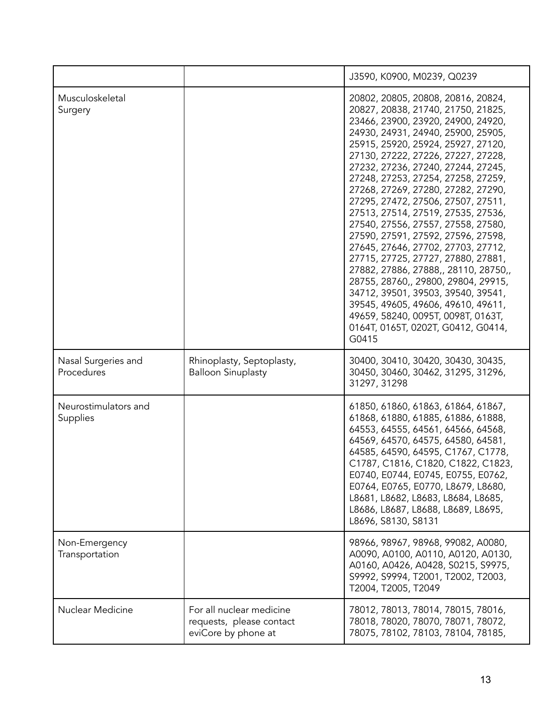|                                   |                                                                             | J3590, K0900, M0239, Q0239                                                                                                                                                                                                                                                                                                                                                                                                                                                                                                                                                                                                                                                                                                                                                                                                             |
|-----------------------------------|-----------------------------------------------------------------------------|----------------------------------------------------------------------------------------------------------------------------------------------------------------------------------------------------------------------------------------------------------------------------------------------------------------------------------------------------------------------------------------------------------------------------------------------------------------------------------------------------------------------------------------------------------------------------------------------------------------------------------------------------------------------------------------------------------------------------------------------------------------------------------------------------------------------------------------|
| Musculoskeletal<br>Surgery        |                                                                             | 20802, 20805, 20808, 20816, 20824,<br>20827, 20838, 21740, 21750, 21825,<br>23466, 23900, 23920, 24900, 24920,<br>24930, 24931, 24940, 25900, 25905,<br>25915, 25920, 25924, 25927, 27120,<br>27130, 27222, 27226, 27227, 27228,<br>27232, 27236, 27240, 27244, 27245,<br>27248, 27253, 27254, 27258, 27259,<br>27268, 27269, 27280, 27282, 27290,<br>27295, 27472, 27506, 27507, 27511,<br>27513, 27514, 27519, 27535, 27536,<br>27540, 27556, 27557, 27558, 27580,<br>27590, 27591, 27592, 27596, 27598,<br>27645, 27646, 27702, 27703, 27712,<br>27715, 27725, 27727, 27880, 27881,<br>27882, 27886, 27888,, 28110, 28750,,<br>28755, 28760,, 29800, 29804, 29915,<br>34712, 39501, 39503, 39540, 39541,<br>39545, 49605, 49606, 49610, 49611,<br>49659, 58240, 0095T, 0098T, 0163T,<br>0164T, 0165T, 0202T, G0412, G0414,<br>G0415 |
| Nasal Surgeries and<br>Procedures | Rhinoplasty, Septoplasty,<br><b>Balloon Sinuplasty</b>                      | 30400, 30410, 30420, 30430, 30435,<br>30450, 30460, 30462, 31295, 31296,<br>31297, 31298                                                                                                                                                                                                                                                                                                                                                                                                                                                                                                                                                                                                                                                                                                                                               |
| Neurostimulators and<br>Supplies  |                                                                             | 61850, 61860, 61863, 61864, 61867,<br>61868, 61880, 61885, 61886, 61888,<br>64553, 64555, 64561, 64566, 64568,<br>64569, 64570, 64575, 64580, 64581,<br>64585, 64590, 64595, C1767, C1778,<br>C1787, C1816, C1820, C1822, C1823,<br>E0740, E0744, E0745, E0755, E0762,<br>E0764, E0765, E0770, L8679, L8680,<br>L8681, L8682, L8683, L8684, L8685,<br>L8686, L8687, L8688, L8689, L8695,<br>L8696, S8130, S8131                                                                                                                                                                                                                                                                                                                                                                                                                        |
| Non-Emergency<br>Transportation   |                                                                             | 98966, 98967, 98968, 99082, A0080,<br>A0090, A0100, A0110, A0120, A0130,<br>A0160, A0426, A0428, S0215, S9975,<br>S9992, S9994, T2001, T2002, T2003,<br>T2004, T2005, T2049                                                                                                                                                                                                                                                                                                                                                                                                                                                                                                                                                                                                                                                            |
| Nuclear Medicine                  | For all nuclear medicine<br>requests, please contact<br>eviCore by phone at | 78012, 78013, 78014, 78015, 78016,<br>78018, 78020, 78070, 78071, 78072,<br>78075, 78102, 78103, 78104, 78185,                                                                                                                                                                                                                                                                                                                                                                                                                                                                                                                                                                                                                                                                                                                         |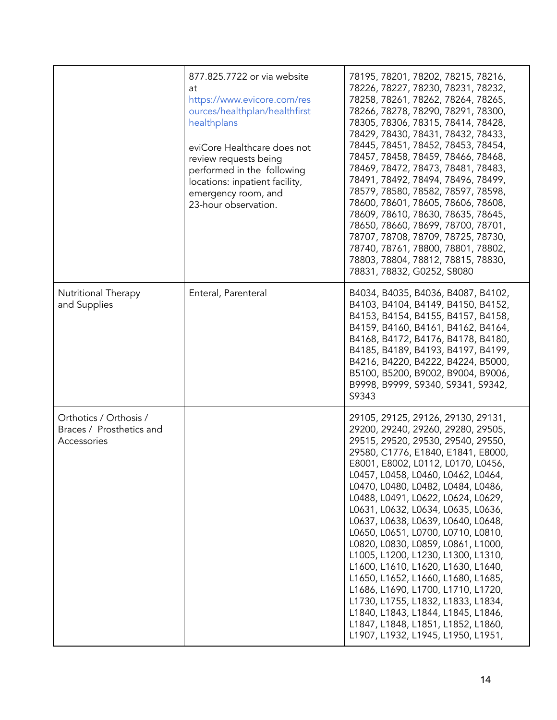|                                                                   | 877.825.7722 or via website<br>at<br>https://www.evicore.com/res<br>ources/healthplan/healthfirst<br>healthplans<br>eviCore Healthcare does not<br>review requests being<br>performed in the following<br>locations: inpatient facility,<br>emergency room, and<br>23-hour observation. | 78195, 78201, 78202, 78215, 78216,<br>78226, 78227, 78230, 78231, 78232,<br>78258, 78261, 78262, 78264, 78265,<br>78266, 78278, 78290, 78291, 78300,<br>78305, 78306, 78315, 78414, 78428,<br>78429, 78430, 78431, 78432, 78433,<br>78445, 78451, 78452, 78453, 78454,<br>78457, 78458, 78459, 78466, 78468,<br>78469, 78472, 78473, 78481, 78483,<br>78491, 78492, 78494, 78496, 78499,<br>78579, 78580, 78582, 78597, 78598,<br>78600, 78601, 78605, 78606, 78608,<br>78609, 78610, 78630, 78635, 78645,<br>78650, 78660, 78699, 78700, 78701,<br>78707, 78708, 78709, 78725, 78730,<br>78740, 78761, 78800, 78801, 78802,<br>78803, 78804, 78812, 78815, 78830,<br>78831, 78832, G0252, S8080                                                                                     |
|-------------------------------------------------------------------|-----------------------------------------------------------------------------------------------------------------------------------------------------------------------------------------------------------------------------------------------------------------------------------------|--------------------------------------------------------------------------------------------------------------------------------------------------------------------------------------------------------------------------------------------------------------------------------------------------------------------------------------------------------------------------------------------------------------------------------------------------------------------------------------------------------------------------------------------------------------------------------------------------------------------------------------------------------------------------------------------------------------------------------------------------------------------------------------|
| Nutritional Therapy<br>and Supplies                               | Enteral, Parenteral                                                                                                                                                                                                                                                                     | B4034, B4035, B4036, B4087, B4102,<br>B4103, B4104, B4149, B4150, B4152,<br>B4153, B4154, B4155, B4157, B4158,<br>B4159, B4160, B4161, B4162, B4164,<br>B4168, B4172, B4176, B4178, B4180,<br>B4185, B4189, B4193, B4197, B4199,<br>B4216, B4220, B4222, B4224, B5000,<br>B5100, B5200, B9002, B9004, B9006,<br>B9998, B9999, S9340, S9341, S9342,<br>S9343                                                                                                                                                                                                                                                                                                                                                                                                                          |
| Orthotics / Orthosis /<br>Braces / Prosthetics and<br>Accessories |                                                                                                                                                                                                                                                                                         | 29105, 29125, 29126, 29130, 29131,<br>29200, 29240, 29260, 29280, 29505,<br>29515, 29520, 29530, 29540, 29550,<br>29580, C1776, E1840, E1841, E8000,<br>E8001, E8002, L0112, L0170, L0456,<br>L0457, L0458, L0460, L0462, L0464,<br>L0470, L0480, L0482, L0484, L0486,<br>L0488, L0491, L0622, L0624, L0629,<br>L0631, L0632, L0634, L0635, L0636,<br>L0637, L0638, L0639, L0640, L0648,<br>L0650, L0651, L0700, L0710, L0810,<br>L0820, L0830, L0859, L0861, L1000,<br>L1005, L1200, L1230, L1300, L1310,<br>L1600, L1610, L1620, L1630, L1640,<br>L1650, L1652, L1660, L1680, L1685,<br>L1686, L1690, L1700, L1710, L1720,<br>L1730, L1755, L1832, L1833, L1834,<br>L1840, L1843, L1844, L1845, L1846,<br>L1847, L1848, L1851, L1852, L1860,<br>L1907, L1932, L1945, L1950, L1951, |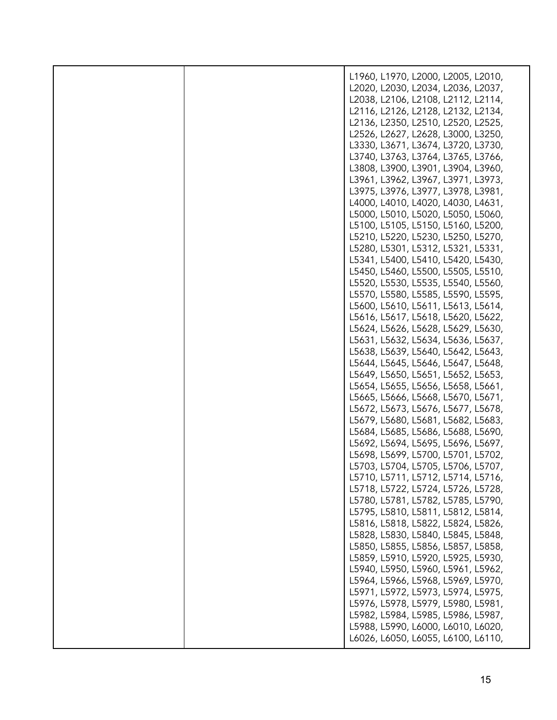|  | L1960, L1970, L2000, L2005, L2010, |
|--|------------------------------------|
|  |                                    |
|  | L2020, L2030, L2034, L2036, L2037, |
|  | L2038, L2106, L2108, L2112, L2114, |
|  | L2116, L2126, L2128, L2132, L2134, |
|  | L2136, L2350, L2510, L2520, L2525, |
|  | L2526, L2627, L2628, L3000, L3250, |
|  | L3330, L3671, L3674, L3720, L3730, |
|  | L3740, L3763, L3764, L3765, L3766, |
|  |                                    |
|  | L3808, L3900, L3901, L3904, L3960, |
|  | L3961, L3962, L3967, L3971, L3973, |
|  | L3975, L3976, L3977, L3978, L3981, |
|  | L4000, L4010, L4020, L4030, L4631, |
|  | L5000, L5010, L5020, L5050, L5060, |
|  | L5100, L5105, L5150, L5160, L5200, |
|  | L5210, L5220, L5230, L5250, L5270, |
|  | L5280, L5301, L5312, L5321, L5331, |
|  |                                    |
|  | L5341, L5400, L5410, L5420, L5430, |
|  | L5450, L5460, L5500, L5505, L5510, |
|  | L5520, L5530, L5535, L5540, L5560, |
|  | L5570, L5580, L5585, L5590, L5595, |
|  | L5600, L5610, L5611, L5613, L5614, |
|  | L5616, L5617, L5618, L5620, L5622, |
|  | L5624, L5626, L5628, L5629, L5630, |
|  | L5631, L5632, L5634, L5636, L5637, |
|  |                                    |
|  | L5638, L5639, L5640, L5642, L5643, |
|  | L5644, L5645, L5646, L5647, L5648, |
|  | L5649, L5650, L5651, L5652, L5653, |
|  | L5654, L5655, L5656, L5658, L5661, |
|  | L5665, L5666, L5668, L5670, L5671, |
|  | L5672, L5673, L5676, L5677, L5678, |
|  | L5679, L5680, L5681, L5682, L5683, |
|  | L5684, L5685, L5686, L5688, L5690, |
|  | L5692, L5694, L5695, L5696, L5697, |
|  |                                    |
|  | L5698, L5699, L5700, L5701, L5702, |
|  | L5703, L5704, L5705, L5706, L5707, |
|  | L5710, L5711, L5712, L5714, L5716, |
|  | L5718, L5722, L5724, L5726, L5728, |
|  | L5780, L5781, L5782, L5785, L5790, |
|  | L5795, L5810, L5811, L5812, L5814, |
|  | L5816, L5818, L5822, L5824, L5826, |
|  | L5828, L5830, L5840, L5845, L5848, |
|  |                                    |
|  | L5850, L5855, L5856, L5857, L5858, |
|  | L5859, L5910, L5920, L5925, L5930, |
|  | L5940, L5950, L5960, L5961, L5962, |
|  | L5964, L5966, L5968, L5969, L5970, |
|  | L5971, L5972, L5973, L5974, L5975, |
|  | L5976, L5978, L5979, L5980, L5981, |
|  | L5982, L5984, L5985, L5986, L5987, |
|  | L5988, L5990, L6000, L6010, L6020, |
|  | L6026, L6050, L6055, L6100, L6110, |
|  |                                    |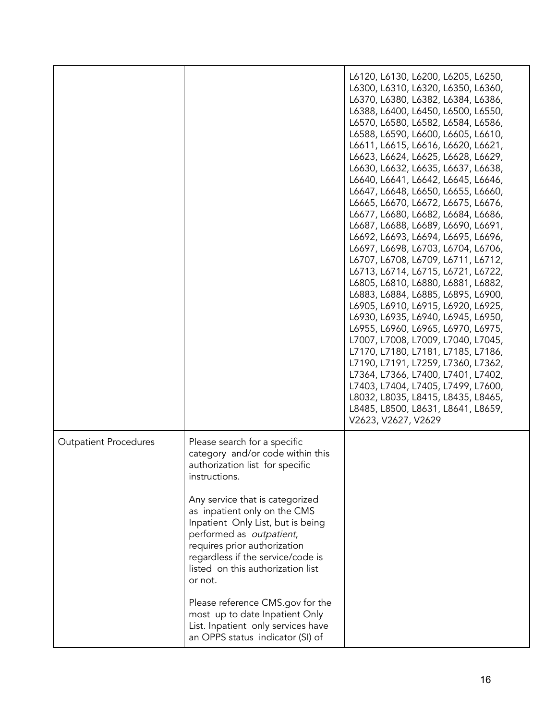|                              |                                                                                                                                                                                                                                                                                                                                                                                                                                                     | L6120, L6130, L6200, L6205, L6250,<br>L6300, L6310, L6320, L6350, L6360,<br>L6370, L6380, L6382, L6384, L6386,<br>L6388, L6400, L6450, L6500, L6550,<br>L6570, L6580, L6582, L6584, L6586,<br>L6588, L6590, L6600, L6605, L6610,<br>L6611, L6615, L6616, L6620, L6621,<br>L6623, L6624, L6625, L6628, L6629,<br>L6630, L6632, L6635, L6637, L6638,<br>L6640, L6641, L6642, L6645, L6646,<br>L6647, L6648, L6650, L6655, L6660,<br>L6665, L6670, L6672, L6675, L6676,<br>L6677, L6680, L6682, L6684, L6686,<br>L6687, L6688, L6689, L6690, L6691,<br>L6692, L6693, L6694, L6695, L6696,<br>L6697, L6698, L6703, L6704, L6706,<br>L6707, L6708, L6709, L6711, L6712,<br>L6713, L6714, L6715, L6721, L6722,<br>L6805, L6810, L6880, L6881, L6882,<br>L6883, L6884, L6885, L6895, L6900,<br>L6905, L6910, L6915, L6920, L6925,<br>L6930, L6935, L6940, L6945, L6950,<br>L6955, L6960, L6965, L6970, L6975,<br>L7007, L7008, L7009, L7040, L7045,<br>L7170, L7180, L7181, L7185, L7186,<br>L7190, L7191, L7259, L7360, L7362,<br>L7364, L7366, L7400, L7401, L7402,<br>L7403, L7404, L7405, L7499, L7600,<br>L8032, L8035, L8415, L8435, L8465,<br>L8485, L8500, L8631, L8641, L8659,<br>V2623, V2627, V2629 |
|------------------------------|-----------------------------------------------------------------------------------------------------------------------------------------------------------------------------------------------------------------------------------------------------------------------------------------------------------------------------------------------------------------------------------------------------------------------------------------------------|---------------------------------------------------------------------------------------------------------------------------------------------------------------------------------------------------------------------------------------------------------------------------------------------------------------------------------------------------------------------------------------------------------------------------------------------------------------------------------------------------------------------------------------------------------------------------------------------------------------------------------------------------------------------------------------------------------------------------------------------------------------------------------------------------------------------------------------------------------------------------------------------------------------------------------------------------------------------------------------------------------------------------------------------------------------------------------------------------------------------------------------------------------------------------------------------------------|
| <b>Outpatient Procedures</b> | Please search for a specific<br>category and/or code within this<br>authorization list for specific<br>instructions.<br>Any service that is categorized<br>as inpatient only on the CMS<br>Inpatient Only List, but is being<br>performed as outpatient,<br>requires prior authorization<br>regardless if the service/code is<br>listed on this authorization list<br>or not.<br>Please reference CMS.gov for the<br>most up to date Inpatient Only |                                                                                                                                                                                                                                                                                                                                                                                                                                                                                                                                                                                                                                                                                                                                                                                                                                                                                                                                                                                                                                                                                                                                                                                                         |
|                              | List. Inpatient only services have<br>an OPPS status indicator (SI) of                                                                                                                                                                                                                                                                                                                                                                              |                                                                                                                                                                                                                                                                                                                                                                                                                                                                                                                                                                                                                                                                                                                                                                                                                                                                                                                                                                                                                                                                                                                                                                                                         |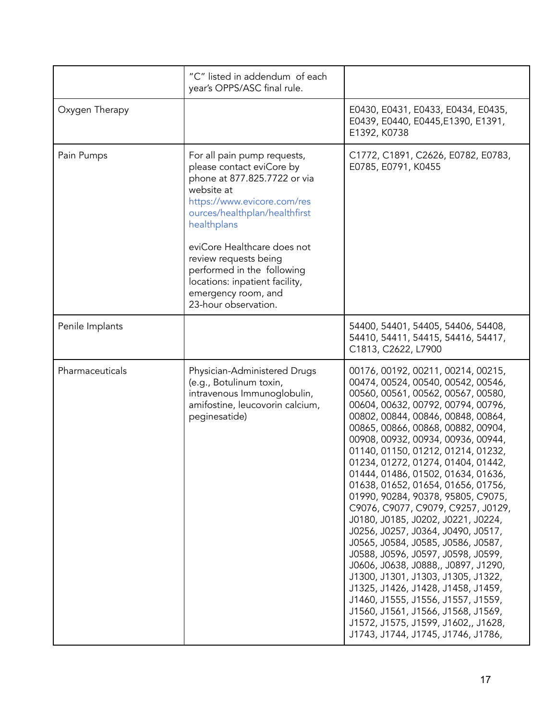|                 | "C" listed in addendum of each<br>year's OPPS/ASC final rule.                                                                                                                                                                                                                                                                                                |                                                                                                                                                                                                                                                                                                                                                                                                                                                                                                                                                                                                                                                                                                                                                                                                                                                                                                                                                |
|-----------------|--------------------------------------------------------------------------------------------------------------------------------------------------------------------------------------------------------------------------------------------------------------------------------------------------------------------------------------------------------------|------------------------------------------------------------------------------------------------------------------------------------------------------------------------------------------------------------------------------------------------------------------------------------------------------------------------------------------------------------------------------------------------------------------------------------------------------------------------------------------------------------------------------------------------------------------------------------------------------------------------------------------------------------------------------------------------------------------------------------------------------------------------------------------------------------------------------------------------------------------------------------------------------------------------------------------------|
| Oxygen Therapy  |                                                                                                                                                                                                                                                                                                                                                              | E0430, E0431, E0433, E0434, E0435,<br>E0439, E0440, E0445, E1390, E1391,<br>E1392, K0738                                                                                                                                                                                                                                                                                                                                                                                                                                                                                                                                                                                                                                                                                                                                                                                                                                                       |
| Pain Pumps      | For all pain pump requests,<br>please contact eviCore by<br>phone at 877.825.7722 or via<br>website at<br>https://www.evicore.com/res<br>ources/healthplan/healthfirst<br>healthplans<br>eviCore Healthcare does not<br>review requests being<br>performed in the following<br>locations: inpatient facility,<br>emergency room, and<br>23-hour observation. | C1772, C1891, C2626, E0782, E0783,<br>E0785, E0791, K0455                                                                                                                                                                                                                                                                                                                                                                                                                                                                                                                                                                                                                                                                                                                                                                                                                                                                                      |
| Penile Implants |                                                                                                                                                                                                                                                                                                                                                              | 54400, 54401, 54405, 54406, 54408,<br>54410, 54411, 54415, 54416, 54417,<br>C1813, C2622, L7900                                                                                                                                                                                                                                                                                                                                                                                                                                                                                                                                                                                                                                                                                                                                                                                                                                                |
| Pharmaceuticals | Physician-Administered Drugs<br>(e.g., Botulinum toxin,<br>intravenous Immunoglobulin,<br>amifostine, leucovorin calcium,<br>peginesatide)                                                                                                                                                                                                                   | 00176, 00192, 00211, 00214, 00215,<br>00474, 00524, 00540, 00542, 00546,<br>00560, 00561, 00562, 00567, 00580,<br>00604, 00632, 00792, 00794, 00796,<br>00802, 00844, 00846, 00848, 00864,<br>00865, 00866, 00868, 00882, 00904,<br>00908, 00932, 00934, 00936, 00944,<br>01140, 01150, 01212, 01214, 01232,<br>01234, 01272, 01274, 01404, 01442,<br>01444, 01486, 01502, 01634, 01636,<br>01638, 01652, 01654, 01656, 01756,<br>01990, 90284, 90378, 95805, C9075,<br>C9076, C9077, C9079, C9257, J0129,<br>J0180, J0185, J0202, J0221, J0224,<br>J0256, J0257, J0364, J0490, J0517,<br>J0565, J0584, J0585, J0586, J0587,<br>J0588, J0596, J0597, J0598, J0599,<br>J0606, J0638, J0888,, J0897, J1290,<br>J1300, J1301, J1303, J1305, J1322,<br>J1325, J1426, J1428, J1458, J1459,<br>J1460, J1555, J1556, J1557, J1559,<br>J1560, J1561, J1566, J1568, J1569,<br>J1572, J1575, J1599, J1602,, J1628,<br>J1743, J1744, J1745, J1746, J1786, |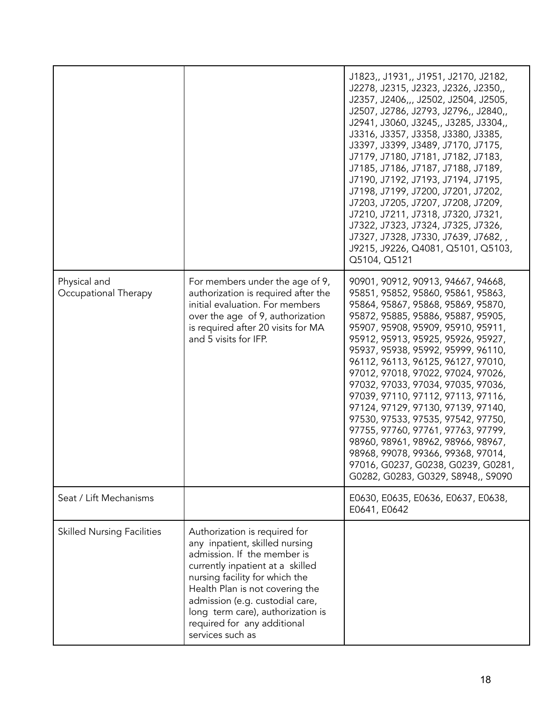|                                      |                                                                                                                                                                                                                                                                                                                                    | J1823,, J1931,, J1951, J2170, J2182,<br>J2278, J2315, J2323, J2326, J2350,<br>J2357, J2406,,, J2502, J2504, J2505,<br>J2507, J2786, J2793, J2796,, J2840,,<br>J2941, J3060, J3245,, J3285, J3304,,<br>J3316, J3357, J3358, J3380, J3385,<br>J3397, J3399, J3489, J7170, J7175,<br>J7179, J7180, J7181, J7182, J7183,<br>J7185, J7186, J7187, J7188, J7189,<br>J7190, J7192, J7193, J7194, J7195,<br>J7198, J7199, J7200, J7201, J7202,<br>J7203, J7205, J7207, J7208, J7209,<br>J7210, J7211, J7318, J7320, J7321,<br>J7322, J7323, J7324, J7325, J7326,<br>J7327, J7328, J7330, J7639, J7682,,<br>J9215, J9226, Q4081, Q5101, Q5103,<br>Q5104, Q5121                                                    |
|--------------------------------------|------------------------------------------------------------------------------------------------------------------------------------------------------------------------------------------------------------------------------------------------------------------------------------------------------------------------------------|----------------------------------------------------------------------------------------------------------------------------------------------------------------------------------------------------------------------------------------------------------------------------------------------------------------------------------------------------------------------------------------------------------------------------------------------------------------------------------------------------------------------------------------------------------------------------------------------------------------------------------------------------------------------------------------------------------|
| Physical and<br>Occupational Therapy | For members under the age of 9,<br>authorization is required after the<br>initial evaluation. For members<br>over the age of 9, authorization<br>is required after 20 visits for MA<br>and 5 visits for IFP.                                                                                                                       | 90901, 90912, 90913, 94667, 94668,<br>95851, 95852, 95860, 95861, 95863,<br>95864, 95867, 95868, 95869, 95870,<br>95872, 95885, 95886, 95887, 95905,<br>95907, 95908, 95909, 95910, 95911,<br>95912, 95913, 95925, 95926, 95927,<br>95937, 95938, 95992, 95999, 96110,<br>96112, 96113, 96125, 96127, 97010,<br>97012, 97018, 97022, 97024, 97026,<br>97032, 97033, 97034, 97035, 97036,<br>97039, 97110, 97112, 97113, 97116,<br>97124, 97129, 97130, 97139, 97140,<br>97530, 97533, 97535, 97542, 97750,<br>97755, 97760, 97761, 97763, 97799,<br>98960, 98961, 98962, 98966, 98967,<br>98968, 99078, 99366, 99368, 97014,<br>97016, G0237, G0238, G0239, G0281,<br>G0282, G0283, G0329, S8948,, S9090 |
| Seat / Lift Mechanisms               |                                                                                                                                                                                                                                                                                                                                    | E0630, E0635, E0636, E0637, E0638,<br>E0641, E0642                                                                                                                                                                                                                                                                                                                                                                                                                                                                                                                                                                                                                                                       |
| <b>Skilled Nursing Facilities</b>    | Authorization is required for<br>any inpatient, skilled nursing<br>admission. If the member is<br>currently inpatient at a skilled<br>nursing facility for which the<br>Health Plan is not covering the<br>admission (e.g. custodial care,<br>long term care), authorization is<br>required for any additional<br>services such as |                                                                                                                                                                                                                                                                                                                                                                                                                                                                                                                                                                                                                                                                                                          |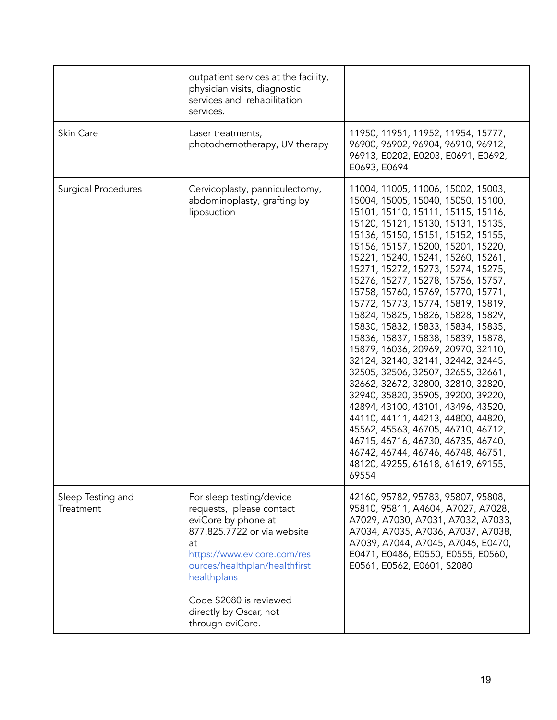|                                | outpatient services at the facility,<br>physician visits, diagnostic<br>services and rehabilitation<br>services.                                                                                                                                                        |                                                                                                                                                                                                                                                                                                                                                                                                                                                                                                                                                                                                                                                                                                                                                                                                                                                                                                                                                                                             |
|--------------------------------|-------------------------------------------------------------------------------------------------------------------------------------------------------------------------------------------------------------------------------------------------------------------------|---------------------------------------------------------------------------------------------------------------------------------------------------------------------------------------------------------------------------------------------------------------------------------------------------------------------------------------------------------------------------------------------------------------------------------------------------------------------------------------------------------------------------------------------------------------------------------------------------------------------------------------------------------------------------------------------------------------------------------------------------------------------------------------------------------------------------------------------------------------------------------------------------------------------------------------------------------------------------------------------|
| Skin Care                      | Laser treatments,<br>photochemotherapy, UV therapy                                                                                                                                                                                                                      | 11950, 11951, 11952, 11954, 15777,<br>96900, 96902, 96904, 96910, 96912,<br>96913, E0202, E0203, E0691, E0692,<br>E0693, E0694                                                                                                                                                                                                                                                                                                                                                                                                                                                                                                                                                                                                                                                                                                                                                                                                                                                              |
| <b>Surgical Procedures</b>     | Cervicoplasty, panniculectomy,<br>abdominoplasty, grafting by<br>liposuction                                                                                                                                                                                            | 11004, 11005, 11006, 15002, 15003,<br>15004, 15005, 15040, 15050, 15100,<br>15101, 15110, 15111, 15115, 15116,<br>15120, 15121, 15130, 15131, 15135,<br>15136, 15150, 15151, 15152, 15155,<br>15156, 15157, 15200, 15201, 15220,<br>15221, 15240, 15241, 15260, 15261,<br>15271, 15272, 15273, 15274, 15275,<br>15276, 15277, 15278, 15756, 15757,<br>15758, 15760, 15769, 15770, 15771,<br>15772, 15773, 15774, 15819, 15819,<br>15824, 15825, 15826, 15828, 15829,<br>15830, 15832, 15833, 15834, 15835,<br>15836, 15837, 15838, 15839, 15878,<br>15879, 16036, 20969, 20970, 32110,<br>32124, 32140, 32141, 32442, 32445,<br>32505, 32506, 32507, 32655, 32661,<br>32662, 32672, 32800, 32810, 32820,<br>32940, 35820, 35905, 39200, 39220,<br>42894, 43100, 43101, 43496, 43520,<br>44110, 44111, 44213, 44800, 44820,<br>45562, 45563, 46705, 46710, 46712,<br>46715, 46716, 46730, 46735, 46740,<br>46742, 46744, 46746, 46748, 46751,<br>48120, 49255, 61618, 61619, 69155,<br>69554 |
| Sleep Testing and<br>Treatment | For sleep testing/device<br>requests, please contact<br>eviCore by phone at<br>877.825.7722 or via website<br>at<br>https://www.evicore.com/res<br>ources/healthplan/healthfirst<br>healthplans<br>Code S2080 is reviewed<br>directly by Oscar, not<br>through eviCore. | 42160, 95782, 95783, 95807, 95808,<br>95810, 95811, A4604, A7027, A7028,<br>A7029, A7030, A7031, A7032, A7033,<br>A7034, A7035, A7036, A7037, A7038,<br>A7039, A7044, A7045, A7046, E0470,<br>E0471, E0486, E0550, E0555, E0560,<br>E0561, E0562, E0601, S2080                                                                                                                                                                                                                                                                                                                                                                                                                                                                                                                                                                                                                                                                                                                              |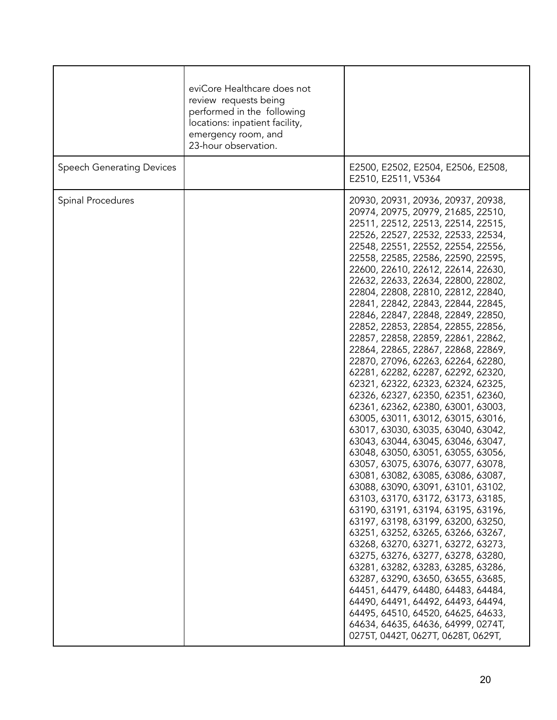|                                  | eviCore Healthcare does not<br>review requests being<br>performed in the following<br>locations: inpatient facility,<br>emergency room, and<br>23-hour observation. |                                                                                                                                                                                                                                                                                                                                                                                                                                                                                                                                                                                                                                                                                                                                                                                                                                                                                                                                                                                                                                                                                                                                                                                                                                                                                                                                                                                                                                                                                                                                        |
|----------------------------------|---------------------------------------------------------------------------------------------------------------------------------------------------------------------|----------------------------------------------------------------------------------------------------------------------------------------------------------------------------------------------------------------------------------------------------------------------------------------------------------------------------------------------------------------------------------------------------------------------------------------------------------------------------------------------------------------------------------------------------------------------------------------------------------------------------------------------------------------------------------------------------------------------------------------------------------------------------------------------------------------------------------------------------------------------------------------------------------------------------------------------------------------------------------------------------------------------------------------------------------------------------------------------------------------------------------------------------------------------------------------------------------------------------------------------------------------------------------------------------------------------------------------------------------------------------------------------------------------------------------------------------------------------------------------------------------------------------------------|
| <b>Speech Generating Devices</b> |                                                                                                                                                                     | E2500, E2502, E2504, E2506, E2508,<br>E2510, E2511, V5364                                                                                                                                                                                                                                                                                                                                                                                                                                                                                                                                                                                                                                                                                                                                                                                                                                                                                                                                                                                                                                                                                                                                                                                                                                                                                                                                                                                                                                                                              |
| Spinal Procedures                |                                                                                                                                                                     | 20930, 20931, 20936, 20937, 20938,<br>20974, 20975, 20979, 21685, 22510,<br>22511, 22512, 22513, 22514, 22515,<br>22526, 22527, 22532, 22533, 22534,<br>22548, 22551, 22552, 22554, 22556,<br>22558, 22585, 22586, 22590, 22595,<br>22600, 22610, 22612, 22614, 22630,<br>22632, 22633, 22634, 22800, 22802,<br>22804, 22808, 22810, 22812, 22840,<br>22841, 22842, 22843, 22844, 22845,<br>22846, 22847, 22848, 22849, 22850,<br>22852, 22853, 22854, 22855, 22856,<br>22857, 22858, 22859, 22861, 22862,<br>22864, 22865, 22867, 22868, 22869,<br>22870, 27096, 62263, 62264, 62280,<br>62281, 62282, 62287, 62292, 62320,<br>62321, 62322, 62323, 62324, 62325,<br>62326, 62327, 62350, 62351, 62360,<br>62361, 62362, 62380, 63001, 63003,<br>63005, 63011, 63012, 63015, 63016,<br>63017, 63030, 63035, 63040, 63042,<br>63043, 63044, 63045, 63046, 63047,<br>63048, 63050, 63051, 63055, 63056,<br>63057, 63075, 63076, 63077, 63078,<br>63081, 63082, 63085, 63086, 63087,<br>63088, 63090, 63091, 63101, 63102,<br>63103, 63170, 63172, 63173, 63185,<br>63190, 63191, 63194, 63195, 63196,<br>63197, 63198, 63199, 63200, 63250,<br>63251, 63252, 63265, 63266, 63267,<br>63268, 63270, 63271, 63272, 63273,<br>63275, 63276, 63277, 63278, 63280,<br>63281, 63282, 63283, 63285, 63286,<br>63287, 63290, 63650, 63655, 63685,<br>64451, 64479, 64480, 64483, 64484,<br>64490, 64491, 64492, 64493, 64494,<br>64495, 64510, 64520, 64625, 64633,<br>64634, 64635, 64636, 64999, 0274T,<br>0275T, 0442T, 0627T, 0628T, 0629T, |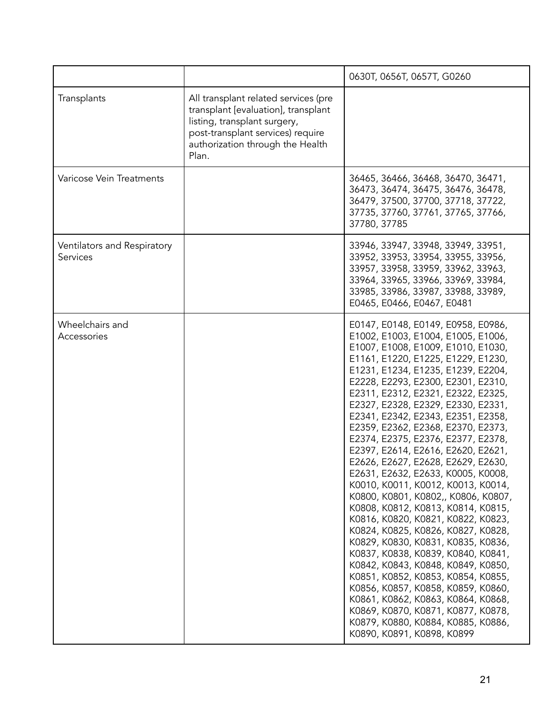|                                         |                                                                                                                                                                                               | 0630T, 0656T, 0657T, G0260                                                                                                                                                                                                                                                                                                                                                                                                                                                                                                                                                                                                                                                                                                                                                                                                                                                                                                                                                                                                                                                                    |
|-----------------------------------------|-----------------------------------------------------------------------------------------------------------------------------------------------------------------------------------------------|-----------------------------------------------------------------------------------------------------------------------------------------------------------------------------------------------------------------------------------------------------------------------------------------------------------------------------------------------------------------------------------------------------------------------------------------------------------------------------------------------------------------------------------------------------------------------------------------------------------------------------------------------------------------------------------------------------------------------------------------------------------------------------------------------------------------------------------------------------------------------------------------------------------------------------------------------------------------------------------------------------------------------------------------------------------------------------------------------|
| Transplants                             | All transplant related services (pre<br>transplant [evaluation], transplant<br>listing, transplant surgery,<br>post-transplant services) require<br>authorization through the Health<br>Plan. |                                                                                                                                                                                                                                                                                                                                                                                                                                                                                                                                                                                                                                                                                                                                                                                                                                                                                                                                                                                                                                                                                               |
| Varicose Vein Treatments                |                                                                                                                                                                                               | 36465, 36466, 36468, 36470, 36471,<br>36473, 36474, 36475, 36476, 36478,<br>36479, 37500, 37700, 37718, 37722,<br>37735, 37760, 37761, 37765, 37766,<br>37780, 37785                                                                                                                                                                                                                                                                                                                                                                                                                                                                                                                                                                                                                                                                                                                                                                                                                                                                                                                          |
| Ventilators and Respiratory<br>Services |                                                                                                                                                                                               | 33946, 33947, 33948, 33949, 33951,<br>33952, 33953, 33954, 33955, 33956,<br>33957, 33958, 33959, 33962, 33963,<br>33964, 33965, 33966, 33969, 33984,<br>33985, 33986, 33987, 33988, 33989,<br>E0465, E0466, E0467, E0481                                                                                                                                                                                                                                                                                                                                                                                                                                                                                                                                                                                                                                                                                                                                                                                                                                                                      |
| Wheelchairs and<br>Accessories          |                                                                                                                                                                                               | E0147, E0148, E0149, E0958, E0986,<br>E1002, E1003, E1004, E1005, E1006,<br>E1007, E1008, E1009, E1010, E1030,<br>E1161, E1220, E1225, E1229, E1230,<br>E1231, E1234, E1235, E1239, E2204,<br>E2228, E2293, E2300, E2301, E2310,<br>E2311, E2312, E2321, E2322, E2325,<br>E2327, E2328, E2329, E2330, E2331,<br>E2341, E2342, E2343, E2351, E2358,<br>E2359, E2362, E2368, E2370, E2373,<br>E2374, E2375, E2376, E2377, E2378,<br>E2397, E2614, E2616, E2620, E2621,<br>E2626, E2627, E2628, E2629, E2630,<br>E2631, E2632, E2633, K0005, K0008,<br>K0010, K0011, K0012, K0013, K0014,<br>K0800, K0801, K0802,, K0806, K0807,<br>K0808, K0812, K0813, K0814, K0815,<br>K0816, K0820, K0821, K0822, K0823,<br>K0824, K0825, K0826, K0827, K0828,<br>K0829, K0830, K0831, K0835, K0836,<br>K0837, K0838, K0839, K0840, K0841,<br>K0842, K0843, K0848, K0849, K0850,<br>K0851, K0852, K0853, K0854, K0855,<br>K0856, K0857, K0858, K0859, K0860,<br>K0861, K0862, K0863, K0864, K0868,<br>K0869, K0870, K0871, K0877, K0878,<br>K0879, K0880, K0884, K0885, K0886,<br>K0890, K0891, K0898, K0899 |